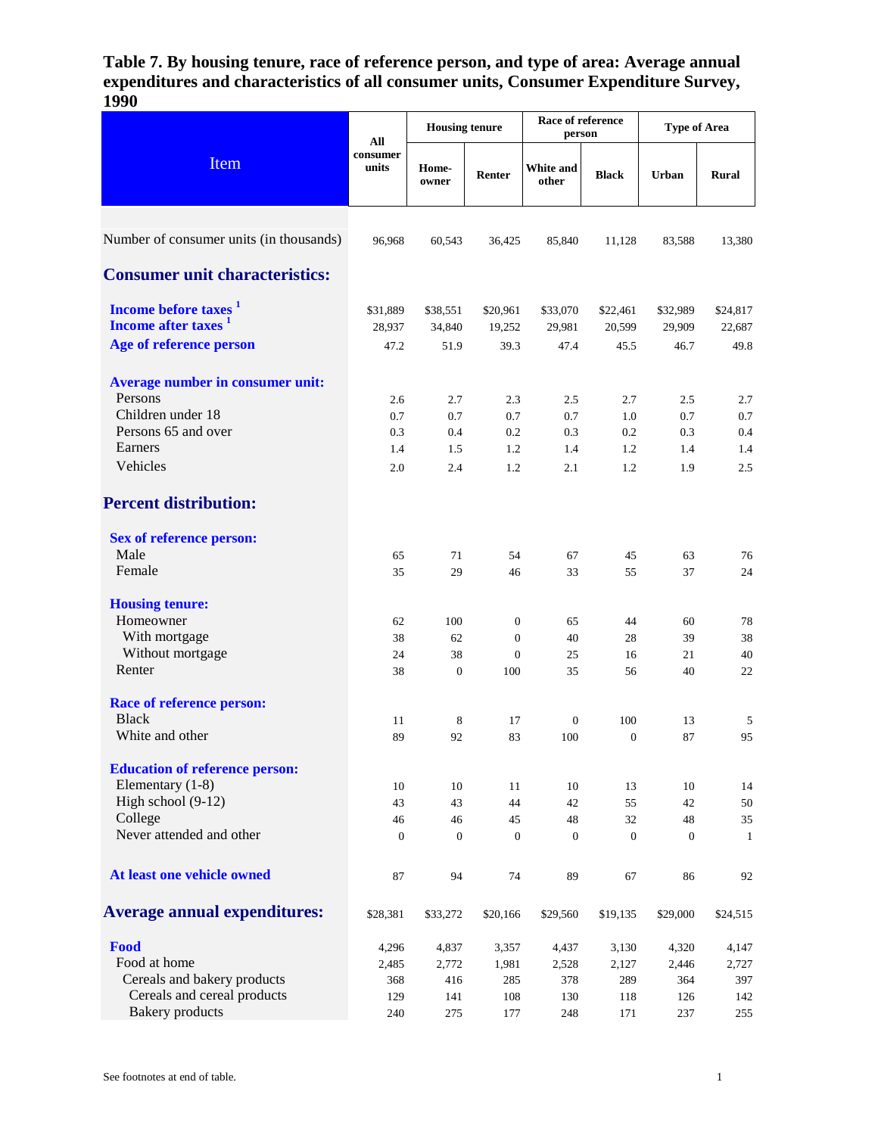**Table 7. By housing tenure, race of reference person, and type of area: Average annual expenditures and characteristics of all consumer units, Consumer Expenditure Survey, 1990**

| Item                                                                                                                   | All                                 | <b>Housing tenure</b>               |                                                               | Race of reference<br>person         |                                     | <b>Type of Area</b>                 |                                     |
|------------------------------------------------------------------------------------------------------------------------|-------------------------------------|-------------------------------------|---------------------------------------------------------------|-------------------------------------|-------------------------------------|-------------------------------------|-------------------------------------|
|                                                                                                                        | consumer<br>units                   | Home-<br>owner                      | Renter                                                        | White and<br>other                  | <b>Black</b>                        | Urban                               | <b>Rural</b>                        |
| Number of consumer units (in thousands)                                                                                | 96,968                              | 60,543                              | 36,425                                                        | 85,840                              | 11,128                              | 83,588                              | 13,380                              |
| <b>Consumer unit characteristics:</b>                                                                                  |                                     |                                     |                                                               |                                     |                                     |                                     |                                     |
| Income before taxes <sup>1</sup><br>Income after taxes <sup>1</sup>                                                    | \$31,889<br>28,937                  | \$38,551<br>34,840                  | \$20,961<br>19,252                                            | \$33,070<br>29,981                  | \$22,461<br>20,599                  | \$32,989<br>29,909                  | \$24,817<br>22,687                  |
| Age of reference person                                                                                                | 47.2                                | 51.9                                | 39.3                                                          | 47.4                                | 45.5                                | 46.7                                | 49.8                                |
| Average number in consumer unit:<br>Persons<br>Children under 18<br>Persons 65 and over<br>Earners<br>Vehicles         | 2.6<br>0.7<br>0.3<br>1.4<br>2.0     | 2.7<br>0.7<br>0.4<br>1.5<br>2.4     | 2.3<br>0.7<br>0.2<br>1.2<br>1.2                               | 2.5<br>0.7<br>0.3<br>1.4<br>2.1     | 2.7<br>1.0<br>0.2<br>1.2<br>1.2     | 2.5<br>0.7<br>0.3<br>1.4<br>1.9     | 2.7<br>0.7<br>0.4<br>1.4<br>2.5     |
| <b>Percent distribution:</b>                                                                                           |                                     |                                     |                                                               |                                     |                                     |                                     |                                     |
| <b>Sex of reference person:</b><br>Male<br>Female                                                                      | 65<br>35                            | 71<br>29                            | 54<br>46                                                      | 67<br>33                            | 45<br>55                            | 63<br>37                            | 76<br>24                            |
| <b>Housing tenure:</b><br>Homeowner<br>With mortgage<br>Without mortgage<br>Renter                                     | 62<br>38<br>24<br>38                | 100<br>62<br>38<br>$\mathbf{0}$     | $\boldsymbol{0}$<br>$\overline{0}$<br>$\boldsymbol{0}$<br>100 | 65<br>40<br>25<br>35                | 44<br>28<br>16<br>56                | 60<br>39<br>21<br>40                | 78<br>38<br>40<br>22                |
| <b>Race of reference person:</b><br><b>Black</b><br>White and other                                                    | 11<br>89                            | 8<br>92                             | 17<br>83                                                      | $\mathbf{0}$<br>100                 | 100<br>$\overline{0}$               | 13<br>87                            | 5<br>95                             |
| <b>Education of reference person:</b><br>Elementary (1-8)<br>High school (9-12)<br>College<br>Never attended and other | 10<br>43<br>46<br>$\theta$          | 10<br>43<br>46<br>$\overline{0}$    | 11<br>44<br>45<br>$\overline{0}$                              | 10<br>42<br>48<br>$\boldsymbol{0}$  | 13<br>55<br>32<br>$\theta$          | 10<br>42<br>48<br>$\boldsymbol{0}$  | 14<br>50<br>35<br>1                 |
| At least one vehicle owned                                                                                             | 87                                  | 94                                  | 74                                                            | 89                                  | 67                                  | 86                                  | 92                                  |
| <b>Average annual expenditures:</b>                                                                                    | \$28,381                            | \$33,272                            | \$20,166                                                      | \$29,560                            | \$19,135                            | \$29,000                            | \$24,515                            |
| Food<br>Food at home<br>Cereals and bakery products<br>Cereals and cereal products<br><b>Bakery</b> products           | 4,296<br>2,485<br>368<br>129<br>240 | 4,837<br>2,772<br>416<br>141<br>275 | 3,357<br>1,981<br>285<br>108<br>177                           | 4,437<br>2,528<br>378<br>130<br>248 | 3,130<br>2,127<br>289<br>118<br>171 | 4,320<br>2,446<br>364<br>126<br>237 | 4,147<br>2,727<br>397<br>142<br>255 |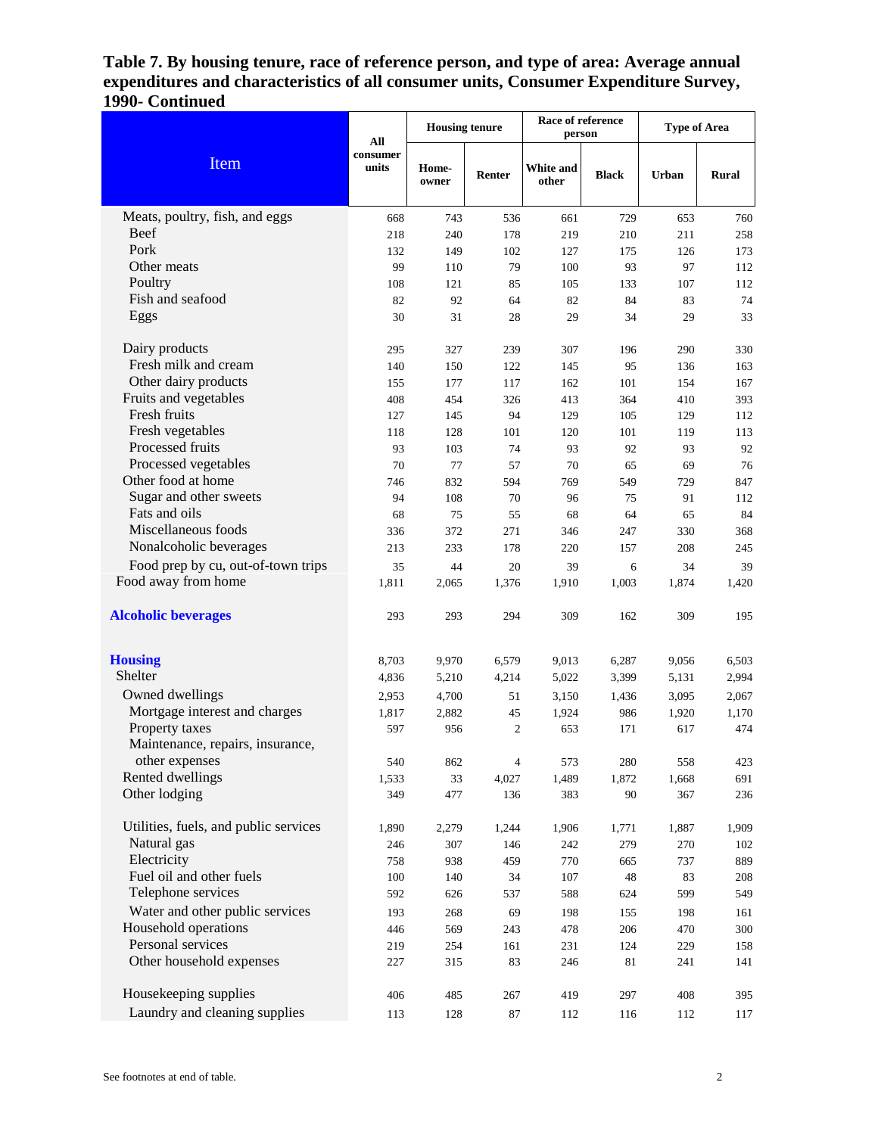## **Table 7. By housing tenure, race of reference person, and type of area: Average annual expenditures and characteristics of all consumer units, Consumer Expenditure Survey, 1990- Continued**

|                                       | All               | <b>Housing tenure</b> |                  | Race of reference<br>person |              | <b>Type of Area</b> |              |
|---------------------------------------|-------------------|-----------------------|------------------|-----------------------------|--------------|---------------------|--------------|
| Item                                  | consumer<br>units | Home-<br>owner        | Renter           | <b>White and</b><br>other   | <b>Black</b> | <b>Urban</b>        | <b>Rural</b> |
| Meats, poultry, fish, and eggs        | 668               | 743                   | 536              | 661                         | 729          | 653                 | 760          |
| <b>Beef</b>                           | 218               | 240                   | 178              | 219                         | 210          | 211                 | 258          |
| Pork                                  | 132               | 149                   | 102              | 127                         | 175          | 126                 | 173          |
| Other meats                           | 99                | 110                   | 79               | 100                         | 93           | 97                  | 112          |
| Poultry                               | 108               | 121                   | 85               | 105                         | 133          | 107                 | 112          |
| Fish and seafood                      | 82                | 92                    | 64               | 82                          | 84           | 83                  | 74           |
| Eggs                                  | 30                | 31                    | 28               | 29                          | 34           | 29                  | 33           |
| Dairy products                        | 295               | 327                   | 239              | 307                         | 196          | 290                 | 330          |
| Fresh milk and cream                  | 140               | 150                   | 122              | 145                         | 95           | 136                 | 163          |
| Other dairy products                  | 155               | 177                   | 117              | 162                         | 101          | 154                 | 167          |
| Fruits and vegetables                 | 408               | 454                   | 326              | 413                         | 364          | 410                 | 393          |
| Fresh fruits                          | 127               | 145                   | 94               | 129                         | 105          | 129                 | 112          |
| Fresh vegetables                      | 118               | 128                   | 101              | 120                         | 101          | 119                 | 113          |
| Processed fruits                      | 93                | 103                   | 74               | 93                          | 92           | 93                  | 92           |
| Processed vegetables                  | 70                | 77                    | 57               | 70                          | 65           | 69                  | 76           |
| Other food at home                    | 746               | 832                   | 594              | 769                         | 549          | 729                 | 847          |
| Sugar and other sweets                | 94                | 108                   | 70               | 96                          | 75           | 91                  | 112          |
| Fats and oils                         | 68                | 75                    | 55               | 68                          | 64           | 65                  | 84           |
| Miscellaneous foods                   | 336               | 372                   | 271              | 346                         | 247          | 330                 | 368          |
| Nonalcoholic beverages                | 213               | 233                   | 178              | 220                         | 157          | 208                 | 245          |
| Food prep by cu, out-of-town trips    | 35                | 44                    | 20               | 39                          | 6            | 34                  | 39           |
| Food away from home                   | 1,811             | 2,065                 | 1,376            | 1,910                       | 1,003        | 1,874               | 1,420        |
| <b>Alcoholic beverages</b>            | 293               | 293                   | 294              | 309                         | 162          | 309                 | 195          |
| <b>Housing</b>                        | 8,703             | 9,970                 | 6,579            | 9,013                       | 6,287        | 9,056               | 6,503        |
| Shelter                               | 4,836             | 5,210                 | 4,214            | 5,022                       | 3,399        | 5,131               | 2,994        |
| Owned dwellings                       | 2,953             | 4,700                 | 51               | 3,150                       | 1,436        | 3,095               | 2,067        |
| Mortgage interest and charges         | 1,817             | 2,882                 | 45               | 1,924                       | 986          | 1,920               | 1,170        |
| Property taxes                        | 597               | 956                   | $\boldsymbol{2}$ | 653                         | 171          | 617                 | 474          |
| Maintenance, repairs, insurance,      |                   |                       |                  |                             |              |                     |              |
| other expenses                        | 540               | 862                   | $\overline{4}$   | 573                         | 280          | 558                 | 423          |
| Rented dwellings                      | 1,533             | 33                    | 4,027            | 1,489                       | 1,872        | 1,668               | 691          |
| Other lodging                         | 349               | 477                   | 136              | 383                         | 90           | 367                 | 236          |
| Utilities, fuels, and public services | 1,890             | 2,279                 | 1,244            | 1,906                       | 1,771        | 1,887               | 1,909        |
| Natural gas                           | 246               | 307                   | 146              | 242                         | 279          | 270                 | 102          |
| Electricity                           | 758               | 938                   | 459              | 770                         | 665          | 737                 | 889          |
| Fuel oil and other fuels              | 100               | 140                   | 34               | 107                         | 48           | 83                  | 208          |
| Telephone services                    | 592               | 626                   | 537              | 588                         | 624          | 599                 | 549          |
| Water and other public services       | 193               | 268                   | 69               | 198                         | 155          | 198                 | 161          |
| Household operations                  | 446               | 569                   | 243              | 478                         | 206          | 470                 | 300          |
| Personal services                     | 219               | 254                   | 161              | 231                         | 124          | 229                 | 158          |
| Other household expenses              | 227               | 315                   | 83               | 246                         | 81           | 241                 | 141          |
| Housekeeping supplies                 | 406               | 485                   | 267              | 419                         | 297          | 408                 | 395          |
| Laundry and cleaning supplies         | 113               | 128                   | 87               | 112                         | 116          | 112                 | 117          |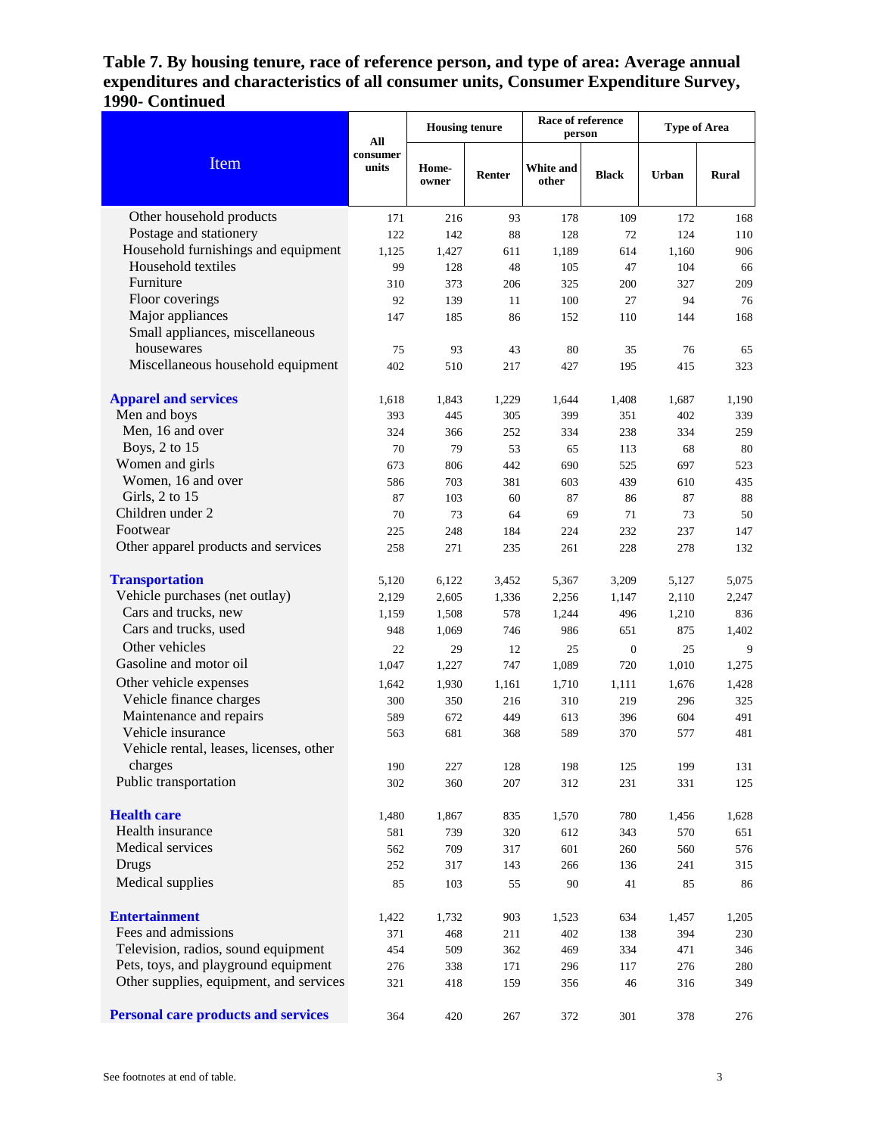## **Table 7. By housing tenure, race of reference person, and type of area: Average annual expenditures and characteristics of all consumer units, Consumer Expenditure Survey, 1990- Continued**

| Item                                       | All<br>consumer<br>units | <b>Housing tenure</b> |        | Race of reference<br>person |                  | <b>Type of Area</b> |       |
|--------------------------------------------|--------------------------|-----------------------|--------|-----------------------------|------------------|---------------------|-------|
|                                            |                          | Home-<br>owner        | Renter | White and<br>other          | <b>Black</b>     | Urban               | Rural |
| Other household products                   | 171                      | 216                   | 93     | 178                         | 109              | 172                 | 168   |
| Postage and stationery                     | 122                      | 142                   | 88     | 128                         | 72               | 124                 | 110   |
| Household furnishings and equipment        | 1,125                    | 1,427                 | 611    | 1,189                       | 614              | 1,160               | 906   |
| Household textiles                         | 99                       | 128                   | 48     | 105                         | 47               | 104                 | 66    |
| Furniture                                  | 310                      | 373                   | 206    | 325                         | 200              | 327                 | 209   |
| Floor coverings                            | 92                       | 139                   | 11     | 100                         | 27               | 94                  | 76    |
| Major appliances                           | 147                      | 185                   | 86     | 152                         | 110              | 144                 | 168   |
| Small appliances, miscellaneous            |                          |                       |        |                             |                  |                     |       |
| housewares                                 | 75                       | 93                    | 43     | 80                          | 35               | 76                  | 65    |
| Miscellaneous household equipment          | 402                      | 510                   | 217    | 427                         | 195              | 415                 | 323   |
| <b>Apparel and services</b>                | 1,618                    | 1,843                 | 1,229  | 1,644                       | 1,408            | 1,687               | 1,190 |
| Men and boys                               | 393                      | 445                   | 305    | 399                         | 351              | 402                 | 339   |
| Men, 16 and over                           | 324                      | 366                   | 252    | 334                         | 238              | 334                 | 259   |
| Boys, 2 to 15                              | 70                       | 79                    | 53     | 65                          | 113              | 68                  | 80    |
| Women and girls                            | 673                      | 806                   | 442    | 690                         | 525              | 697                 | 523   |
| Women, 16 and over                         | 586                      | 703                   | 381    | 603                         | 439              | 610                 | 435   |
| Girls, 2 to 15                             | 87                       | 103                   | 60     | 87                          | 86               | 87                  | 88    |
| Children under 2                           | 70                       | 73                    | 64     | 69                          | 71               | 73                  | 50    |
| Footwear                                   | 225                      | 248                   | 184    | 224                         | 232              | 237                 | 147   |
| Other apparel products and services        | 258                      | 271                   | 235    | 261                         | 228              | 278                 | 132   |
| <b>Transportation</b>                      | 5,120                    | 6,122                 | 3,452  | 5,367                       | 3,209            | 5,127               | 5,075 |
| Vehicle purchases (net outlay)             | 2,129                    | 2,605                 | 1,336  | 2,256                       | 1,147            | 2,110               | 2,247 |
| Cars and trucks, new                       | 1,159                    | 1,508                 | 578    | 1,244                       | 496              | 1,210               | 836   |
| Cars and trucks, used                      | 948                      | 1,069                 | 746    | 986                         | 651              | 875                 | 1,402 |
| Other vehicles                             | 22                       | 29                    | 12     | 25                          | $\boldsymbol{0}$ | 25                  | 9     |
| Gasoline and motor oil                     | 1,047                    | 1,227                 | 747    | 1,089                       | 720              | 1,010               | 1,275 |
| Other vehicle expenses                     | 1,642                    | 1,930                 | 1,161  | 1,710                       | 1,111            | 1,676               | 1,428 |
| Vehicle finance charges                    | 300                      | 350                   | 216    | 310                         | 219              | 296                 | 325   |
| Maintenance and repairs                    | 589                      | 672                   | 449    | 613                         | 396              | 604                 | 491   |
| Vehicle insurance                          | 563                      | 681                   | 368    | 589                         | 370              | 577                 | 481   |
| Vehicle rental, leases, licenses, other    |                          |                       |        |                             |                  |                     |       |
| charges                                    | 190                      | 227                   | 128    | 198                         | 125              | 199                 | 131   |
| Public transportation                      | 302                      | 360                   | 207    | 312                         | 231              | 331                 | 125   |
| <b>Health care</b>                         | 1,480                    | 1,867                 | 835    | 1,570                       | 780              | 1,456               | 1,628 |
| Health insurance                           | 581                      | 739                   | 320    | 612                         | 343              | 570                 | 651   |
| Medical services                           | 562                      | 709                   | 317    | 601                         | 260              | 560                 | 576   |
| Drugs                                      | 252                      | 317                   | 143    | 266                         | 136              | 241                 | 315   |
| Medical supplies                           | 85                       | 103                   | 55     | 90                          | 41               | 85                  | 86    |
| <b>Entertainment</b>                       | 1,422                    | 1,732                 | 903    | 1,523                       | 634              | 1,457               | 1,205 |
| Fees and admissions                        | 371                      | 468                   | 211    | 402                         | 138              | 394                 | 230   |
| Television, radios, sound equipment        | 454                      | 509                   | 362    | 469                         | 334              | 471                 | 346   |
| Pets, toys, and playground equipment       | 276                      | 338                   | 171    | 296                         | 117              | 276                 | 280   |
| Other supplies, equipment, and services    | 321                      | 418                   | 159    | 356                         | 46               | 316                 | 349   |
| <b>Personal care products and services</b> | 364                      | 420                   | 267    | 372                         | 301              | 378                 | 276   |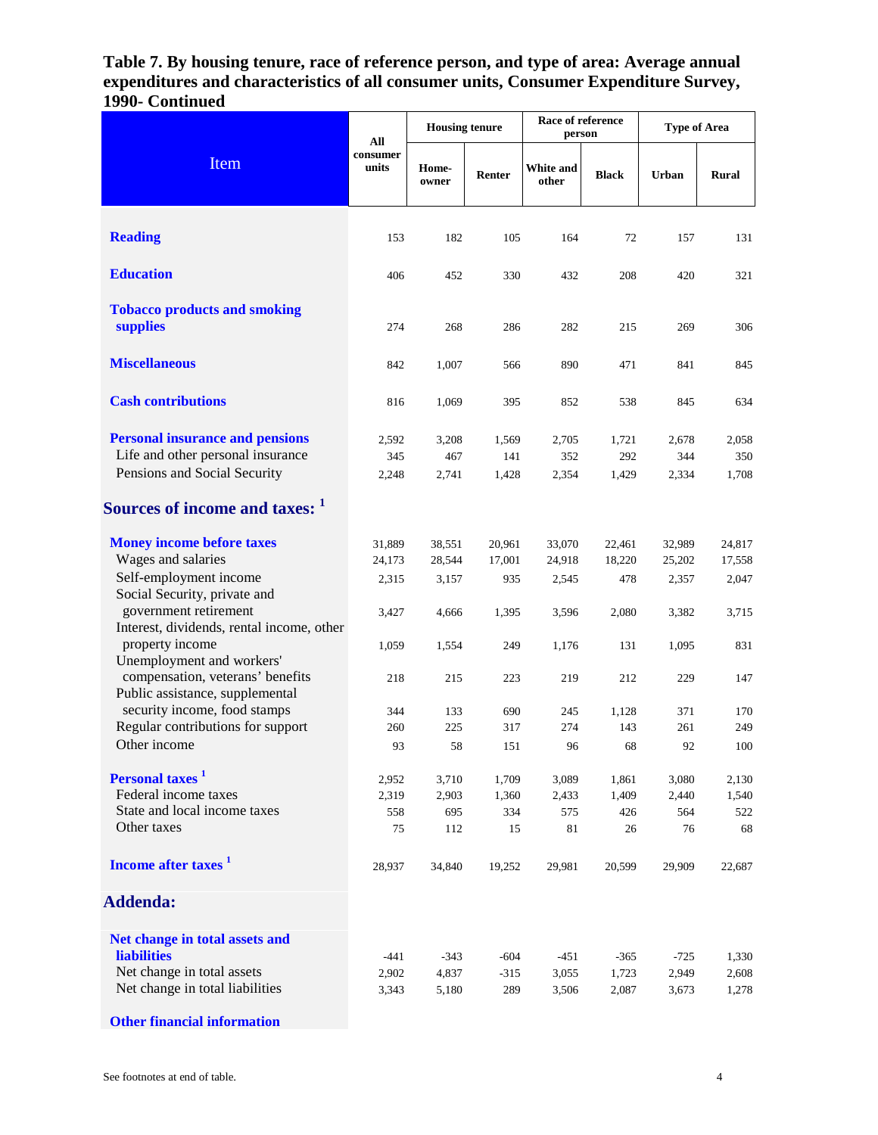**Table 7. By housing tenure, race of reference person, and type of area: Average annual expenditures and characteristics of all consumer units, Consumer Expenditure Survey, 1990- Continued**

| Item                                                                                                        | All<br>consumer<br>units  | <b>Housing tenure</b>     |                         | Race of reference<br>person |                         | <b>Type of Area</b>       |                           |
|-------------------------------------------------------------------------------------------------------------|---------------------------|---------------------------|-------------------------|-----------------------------|-------------------------|---------------------------|---------------------------|
|                                                                                                             |                           | Home-<br>owner            | Renter                  | White and<br>other          | <b>Black</b>            | Urban                     | Rural                     |
| <b>Reading</b>                                                                                              | 153                       | 182                       | 105                     | 164                         | 72                      | 157                       | 131                       |
| <b>Education</b>                                                                                            | 406                       | 452                       | 330                     | 432                         | 208                     | 420                       | 321                       |
| <b>Tobacco products and smoking</b><br>supplies                                                             | 274                       | 268                       | 286                     | 282                         | 215                     | 269                       | 306                       |
| <b>Miscellaneous</b>                                                                                        | 842                       | 1,007                     | 566                     | 890                         | 471                     | 841                       | 845                       |
| <b>Cash contributions</b>                                                                                   | 816                       | 1,069                     | 395                     | 852                         | 538                     | 845                       | 634                       |
| <b>Personal insurance and pensions</b><br>Life and other personal insurance<br>Pensions and Social Security | 2,592<br>345<br>2,248     | 3,208<br>467<br>2,741     | 1,569<br>141<br>1,428   | 2,705<br>352<br>2,354       | 1,721<br>292<br>1,429   | 2,678<br>344<br>2,334     | 2,058<br>350<br>1,708     |
| Sources of income and taxes: 1                                                                              |                           |                           |                         |                             |                         |                           |                           |
| <b>Money income before taxes</b><br>Wages and salaries<br>Self-employment income                            | 31,889<br>24,173<br>2,315 | 38,551<br>28,544<br>3,157 | 20,961<br>17,001<br>935 | 33,070<br>24,918<br>2,545   | 22,461<br>18,220<br>478 | 32,989<br>25,202<br>2,357 | 24,817<br>17,558<br>2,047 |
| Social Security, private and<br>government retirement<br>Interest, dividends, rental income, other          | 3,427                     | 4,666                     | 1,395                   | 3,596                       | 2,080                   | 3,382                     | 3,715                     |
| property income<br>Unemployment and workers'<br>compensation, veterans' benefits                            | 1,059<br>218              | 1,554<br>215              | 249<br>223              | 1,176<br>219                | 131<br>212              | 1,095<br>229              | 831<br>147                |
| Public assistance, supplemental<br>security income, food stamps                                             | 344                       | 133                       | 690                     | 245                         | 1,128                   | 371                       | 170                       |
| Regular contributions for support<br>Other income                                                           | 260<br>93                 | 225<br>58                 | 317<br>151              | 274<br>96                   | 143<br>68               | 261<br>92                 | 249<br>100                |
| Personal taxes <sup>1</sup>                                                                                 | 2,952                     | 3,710                     | 1,709                   | 3,089                       | 1,861                   | 3,080                     | 2,130                     |
| Federal income taxes                                                                                        | 2,319                     | 2,903                     | 1,360                   | 2,433                       | 1,409                   | 2,440                     | 1,540                     |
| State and local income taxes<br>Other taxes                                                                 | 558<br>75                 | 695<br>112                | 334<br>15               | 575<br>81                   | 426<br>26               | 564<br>76                 | 522<br>68                 |
| Income after taxes <sup>1</sup>                                                                             | 28,937                    | 34,840                    | 19,252                  | 29,981                      | 20,599                  | 29,909                    | 22,687                    |
| <b>Addenda:</b>                                                                                             |                           |                           |                         |                             |                         |                           |                           |
| Net change in total assets and<br><b>liabilities</b>                                                        | $-441$                    | $-343$                    | -604                    | $-451$                      | $-365$                  | $-725$                    | 1,330                     |
| Net change in total assets<br>Net change in total liabilities                                               | 2,902<br>3,343            | 4,837<br>5,180            | $-315$<br>289           | 3,055<br>3,506              | 1,723<br>2,087          | 2,949<br>3,673            | 2,608<br>1,278            |

**Other financial information**